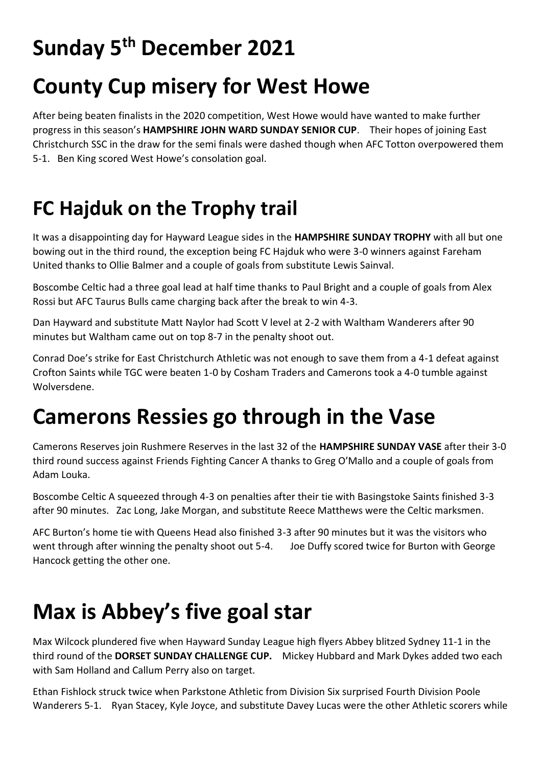# **Sunday 5th December 2021**

# **County Cup misery for West Howe**

After being beaten finalists in the 2020 competition, West Howe would have wanted to make further progress in this season's **HAMPSHIRE JOHN WARD SUNDAY SENIOR CUP**. Their hopes of joining East Christchurch SSC in the draw for the semi finals were dashed though when AFC Totton overpowered them 5-1. Ben King scored West Howe's consolation goal.

### **FC Hajduk on the Trophy trail**

It was a disappointing day for Hayward League sides in the **HAMPSHIRE SUNDAY TROPHY** with all but one bowing out in the third round, the exception being FC Hajduk who were 3-0 winners against Fareham United thanks to Ollie Balmer and a couple of goals from substitute Lewis Sainval.

Boscombe Celtic had a three goal lead at half time thanks to Paul Bright and a couple of goals from Alex Rossi but AFC Taurus Bulls came charging back after the break to win 4-3.

Dan Hayward and substitute Matt Naylor had Scott V level at 2-2 with Waltham Wanderers after 90 minutes but Waltham came out on top 8-7 in the penalty shoot out.

Conrad Doe's strike for East Christchurch Athletic was not enough to save them from a 4-1 defeat against Crofton Saints while TGC were beaten 1-0 by Cosham Traders and Camerons took a 4-0 tumble against Wolversdene.

#### **Camerons Ressies go through in the Vase**

Camerons Reserves join Rushmere Reserves in the last 32 of the **HAMPSHIRE SUNDAY VASE** after their 3-0 third round success against Friends Fighting Cancer A thanks to Greg O'Mallo and a couple of goals from Adam Louka.

Boscombe Celtic A squeezed through 4-3 on penalties after their tie with Basingstoke Saints finished 3-3 after 90 minutes. Zac Long, Jake Morgan, and substitute Reece Matthews were the Celtic marksmen.

AFC Burton's home tie with Queens Head also finished 3-3 after 90 minutes but it was the visitors who went through after winning the penalty shoot out 5-4. Joe Duffy scored twice for Burton with George Hancock getting the other one.

# **Max is Abbey's five goal star**

Max Wilcock plundered five when Hayward Sunday League high flyers Abbey blitzed Sydney 11-1 in the third round of the **DORSET SUNDAY CHALLENGE CUP.** Mickey Hubbard and Mark Dykes added two each with Sam Holland and Callum Perry also on target.

Ethan Fishlock struck twice when Parkstone Athletic from Division Six surprised Fourth Division Poole Wanderers 5-1. Ryan Stacey, Kyle Joyce, and substitute Davey Lucas were the other Athletic scorers while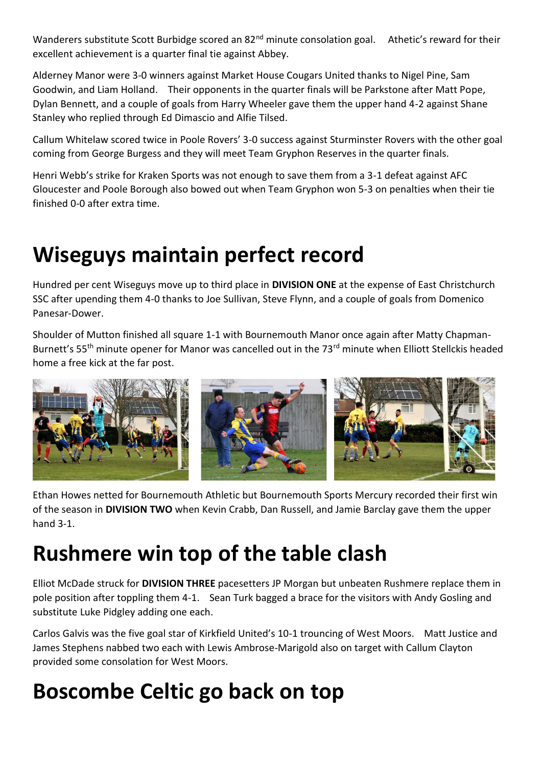Wanderers substitute Scott Burbidge scored an 82<sup>nd</sup> minute consolation goal. Athetic's reward for their excellent achievement is a quarter final tie against Abbey.

Alderney Manor were 3-0 winners against Market House Cougars United thanks to Nigel Pine, Sam Goodwin, and Liam Holland. Their opponents in the quarter finals will be Parkstone after Matt Pope, Dylan Bennett, and a couple of goals from Harry Wheeler gave them the upper hand 4-2 against Shane Stanley who replied through Ed Dimascio and Alfie Tilsed.

Callum Whitelaw scored twice in Poole Rovers' 3-0 success against Sturminster Rovers with the other goal coming from George Burgess and they will meet Team Gryphon Reserves in the quarter finals.

Henri Webb's strike for Kraken Sports was not enough to save them from a 3-1 defeat against AFC Gloucester and Poole Borough also bowed out when Team Gryphon won 5-3 on penalties when their tie finished 0-0 after extra time.

# **Wiseguys maintain perfect record**

Hundred per cent Wiseguys move up to third place in **DIVISION ONE** at the expense of East Christchurch SSC after upending them 4-0 thanks to Joe Sullivan, Steve Flynn, and a couple of goals from Domenico Panesar-Dower.

Shoulder of Mutton finished all square 1-1 with Bournemouth Manor once again after Matty Chapman-Burnett's 55<sup>th</sup> minute opener for Manor was cancelled out in the 73<sup>rd</sup> minute when Elliott Stellckis headed home a free kick at the far post.



Ethan Howes netted for Bournemouth Athletic but Bournemouth Sports Mercury recorded their first win of the season in **DIVISION TWO** when Kevin Crabb, Dan Russell, and Jamie Barclay gave them the upper hand 3-1.

#### **Rushmere win top of the table clash**

Elliot McDade struck for **DIVISION THREE** pacesetters JP Morgan but unbeaten Rushmere replace them in pole position after toppling them 4-1. Sean Turk bagged a brace for the visitors with Andy Gosling and substitute Luke Pidgley adding one each.

Carlos Galvis was the five goal star of Kirkfield United's 10-1 trouncing of West Moors. Matt Justice and James Stephens nabbed two each with Lewis Ambrose-Marigold also on target with Callum Clayton provided some consolation for West Moors.

# **Boscombe Celtic go back on top**